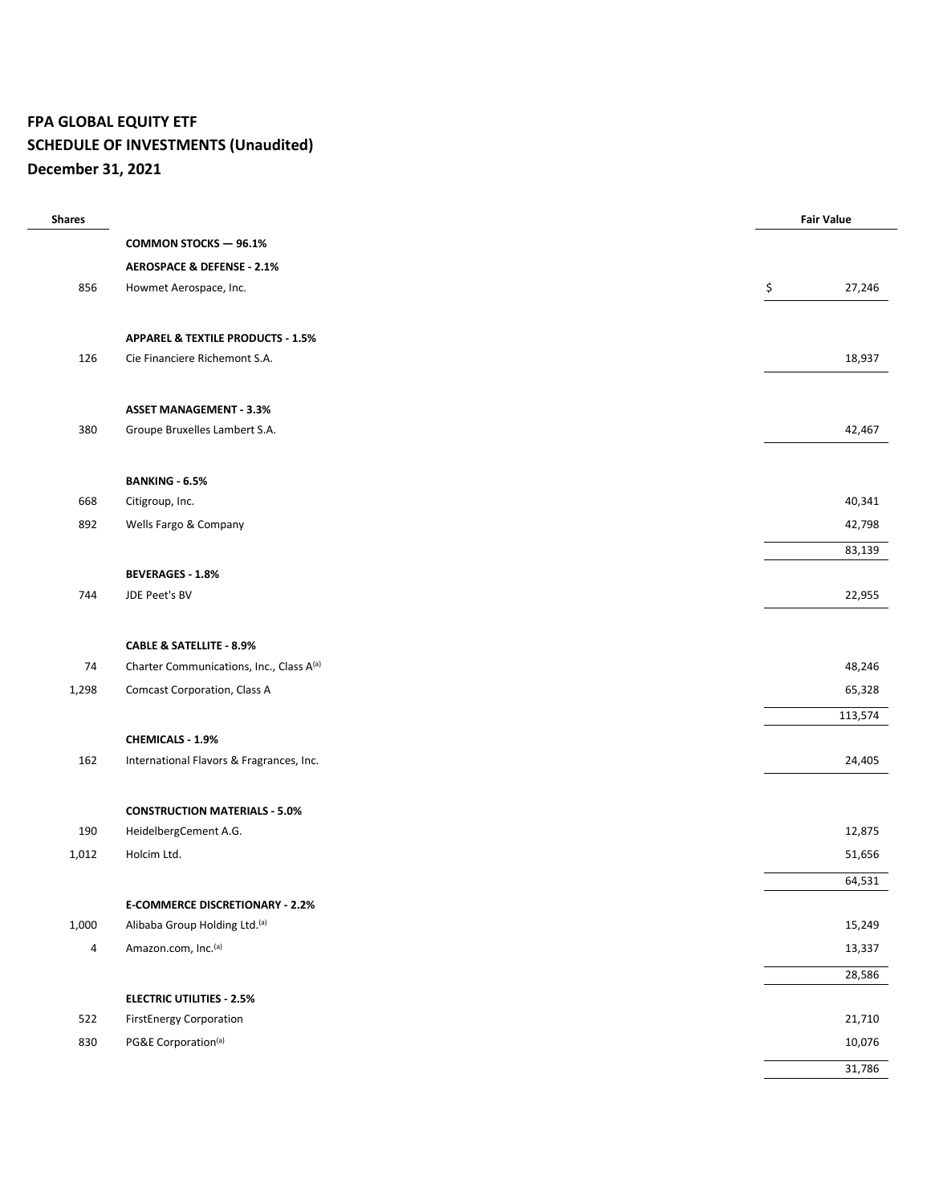## **FPA GLOBAL EQUITY ETF SCHEDULE OF INVESTMENTS (Unaudited) December 31, 2021**

| <b>COMMON STOCKS - 96.1%</b><br><b>AEROSPACE &amp; DEFENSE - 2.1%</b><br>\$<br>856<br>27,246<br>Howmet Aerospace, Inc.<br><b>APPAREL &amp; TEXTILE PRODUCTS - 1.5%</b><br>126<br>Cie Financiere Richemont S.A.<br>18,937<br><b>ASSET MANAGEMENT - 3.3%</b><br>380<br>Groupe Bruxelles Lambert S.A.<br>42,467<br><b>BANKING - 6.5%</b><br>668<br>Citigroup, Inc.<br>40,341<br>892<br>42,798<br>Wells Fargo & Company<br>83,139<br><b>BEVERAGES - 1.8%</b><br>744<br>22,955<br>JDE Peet's BV<br><b>CABLE &amp; SATELLITE - 8.9%</b><br>74<br>Charter Communications, Inc., Class A(a)<br>48,246<br>1,298<br>Comcast Corporation, Class A<br>65,328<br>113,574<br>CHEMICALS - 1.9%<br>162<br>International Flavors & Fragrances, Inc.<br>24,405<br><b>CONSTRUCTION MATERIALS - 5.0%</b><br>190<br>12,875<br>HeidelbergCement A.G.<br>Holcim Ltd.<br>1,012<br>51,656<br>64,531<br><b>E-COMMERCE DISCRETIONARY - 2.2%</b><br>1,000<br>Alibaba Group Holding Ltd.(a)<br>15,249<br>Amazon.com, Inc.(a)<br>$\overline{a}$<br>13,337<br>28,586<br><b>ELECTRIC UTILITIES - 2.5%</b> | <b>Shares</b> |                                | <b>Fair Value</b> |
|---------------------------------------------------------------------------------------------------------------------------------------------------------------------------------------------------------------------------------------------------------------------------------------------------------------------------------------------------------------------------------------------------------------------------------------------------------------------------------------------------------------------------------------------------------------------------------------------------------------------------------------------------------------------------------------------------------------------------------------------------------------------------------------------------------------------------------------------------------------------------------------------------------------------------------------------------------------------------------------------------------------------------------------------------------------------------|---------------|--------------------------------|-------------------|
|                                                                                                                                                                                                                                                                                                                                                                                                                                                                                                                                                                                                                                                                                                                                                                                                                                                                                                                                                                                                                                                                           |               |                                |                   |
|                                                                                                                                                                                                                                                                                                                                                                                                                                                                                                                                                                                                                                                                                                                                                                                                                                                                                                                                                                                                                                                                           |               |                                |                   |
|                                                                                                                                                                                                                                                                                                                                                                                                                                                                                                                                                                                                                                                                                                                                                                                                                                                                                                                                                                                                                                                                           |               |                                |                   |
|                                                                                                                                                                                                                                                                                                                                                                                                                                                                                                                                                                                                                                                                                                                                                                                                                                                                                                                                                                                                                                                                           |               |                                |                   |
|                                                                                                                                                                                                                                                                                                                                                                                                                                                                                                                                                                                                                                                                                                                                                                                                                                                                                                                                                                                                                                                                           |               |                                |                   |
|                                                                                                                                                                                                                                                                                                                                                                                                                                                                                                                                                                                                                                                                                                                                                                                                                                                                                                                                                                                                                                                                           |               |                                |                   |
|                                                                                                                                                                                                                                                                                                                                                                                                                                                                                                                                                                                                                                                                                                                                                                                                                                                                                                                                                                                                                                                                           |               |                                |                   |
|                                                                                                                                                                                                                                                                                                                                                                                                                                                                                                                                                                                                                                                                                                                                                                                                                                                                                                                                                                                                                                                                           |               |                                |                   |
|                                                                                                                                                                                                                                                                                                                                                                                                                                                                                                                                                                                                                                                                                                                                                                                                                                                                                                                                                                                                                                                                           |               |                                |                   |
|                                                                                                                                                                                                                                                                                                                                                                                                                                                                                                                                                                                                                                                                                                                                                                                                                                                                                                                                                                                                                                                                           |               |                                |                   |
|                                                                                                                                                                                                                                                                                                                                                                                                                                                                                                                                                                                                                                                                                                                                                                                                                                                                                                                                                                                                                                                                           |               |                                |                   |
|                                                                                                                                                                                                                                                                                                                                                                                                                                                                                                                                                                                                                                                                                                                                                                                                                                                                                                                                                                                                                                                                           |               |                                |                   |
|                                                                                                                                                                                                                                                                                                                                                                                                                                                                                                                                                                                                                                                                                                                                                                                                                                                                                                                                                                                                                                                                           |               |                                |                   |
|                                                                                                                                                                                                                                                                                                                                                                                                                                                                                                                                                                                                                                                                                                                                                                                                                                                                                                                                                                                                                                                                           |               |                                |                   |
|                                                                                                                                                                                                                                                                                                                                                                                                                                                                                                                                                                                                                                                                                                                                                                                                                                                                                                                                                                                                                                                                           |               |                                |                   |
|                                                                                                                                                                                                                                                                                                                                                                                                                                                                                                                                                                                                                                                                                                                                                                                                                                                                                                                                                                                                                                                                           |               |                                |                   |
|                                                                                                                                                                                                                                                                                                                                                                                                                                                                                                                                                                                                                                                                                                                                                                                                                                                                                                                                                                                                                                                                           |               |                                |                   |
|                                                                                                                                                                                                                                                                                                                                                                                                                                                                                                                                                                                                                                                                                                                                                                                                                                                                                                                                                                                                                                                                           |               |                                |                   |
|                                                                                                                                                                                                                                                                                                                                                                                                                                                                                                                                                                                                                                                                                                                                                                                                                                                                                                                                                                                                                                                                           |               |                                |                   |
|                                                                                                                                                                                                                                                                                                                                                                                                                                                                                                                                                                                                                                                                                                                                                                                                                                                                                                                                                                                                                                                                           |               |                                |                   |
|                                                                                                                                                                                                                                                                                                                                                                                                                                                                                                                                                                                                                                                                                                                                                                                                                                                                                                                                                                                                                                                                           |               |                                |                   |
|                                                                                                                                                                                                                                                                                                                                                                                                                                                                                                                                                                                                                                                                                                                                                                                                                                                                                                                                                                                                                                                                           |               |                                |                   |
|                                                                                                                                                                                                                                                                                                                                                                                                                                                                                                                                                                                                                                                                                                                                                                                                                                                                                                                                                                                                                                                                           |               |                                |                   |
|                                                                                                                                                                                                                                                                                                                                                                                                                                                                                                                                                                                                                                                                                                                                                                                                                                                                                                                                                                                                                                                                           |               |                                |                   |
|                                                                                                                                                                                                                                                                                                                                                                                                                                                                                                                                                                                                                                                                                                                                                                                                                                                                                                                                                                                                                                                                           |               |                                |                   |
|                                                                                                                                                                                                                                                                                                                                                                                                                                                                                                                                                                                                                                                                                                                                                                                                                                                                                                                                                                                                                                                                           |               |                                |                   |
|                                                                                                                                                                                                                                                                                                                                                                                                                                                                                                                                                                                                                                                                                                                                                                                                                                                                                                                                                                                                                                                                           |               |                                |                   |
|                                                                                                                                                                                                                                                                                                                                                                                                                                                                                                                                                                                                                                                                                                                                                                                                                                                                                                                                                                                                                                                                           |               |                                |                   |
|                                                                                                                                                                                                                                                                                                                                                                                                                                                                                                                                                                                                                                                                                                                                                                                                                                                                                                                                                                                                                                                                           |               |                                |                   |
|                                                                                                                                                                                                                                                                                                                                                                                                                                                                                                                                                                                                                                                                                                                                                                                                                                                                                                                                                                                                                                                                           |               |                                |                   |
|                                                                                                                                                                                                                                                                                                                                                                                                                                                                                                                                                                                                                                                                                                                                                                                                                                                                                                                                                                                                                                                                           |               |                                |                   |
|                                                                                                                                                                                                                                                                                                                                                                                                                                                                                                                                                                                                                                                                                                                                                                                                                                                                                                                                                                                                                                                                           | 522           | <b>FirstEnergy Corporation</b> | 21,710            |
| 830<br>PG&E Corporation(a)<br>10,076                                                                                                                                                                                                                                                                                                                                                                                                                                                                                                                                                                                                                                                                                                                                                                                                                                                                                                                                                                                                                                      |               |                                |                   |
| 31,786                                                                                                                                                                                                                                                                                                                                                                                                                                                                                                                                                                                                                                                                                                                                                                                                                                                                                                                                                                                                                                                                    |               |                                |                   |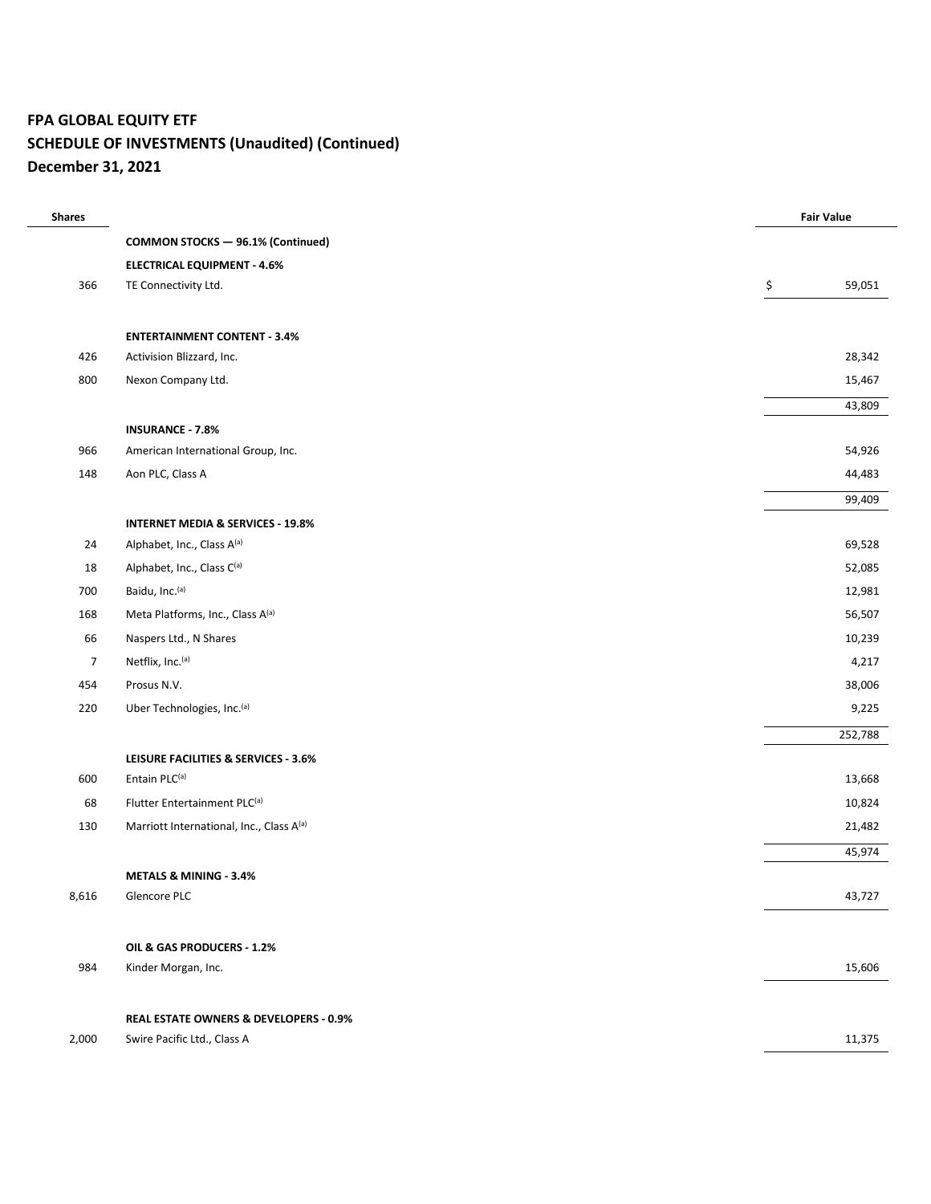## **FPA GLOBAL EQUITY ETF SCHEDULE OF INVESTMENTS (Unaudited) (Continued)**

**December 31, 2021**

| <b>Shares</b>  |                                              | <b>Fair Value</b> |
|----------------|----------------------------------------------|-------------------|
|                | <b>COMMON STOCKS - 96.1% (Continued)</b>     |                   |
|                | <b>ELECTRICAL EQUIPMENT - 4.6%</b>           |                   |
| 366            | TE Connectivity Ltd.                         | \$<br>59,051      |
|                |                                              |                   |
|                | <b>ENTERTAINMENT CONTENT - 3.4%</b>          |                   |
| 426            | Activision Blizzard, Inc.                    | 28,342            |
| 800            | Nexon Company Ltd.                           | 15,467            |
|                |                                              | 43,809            |
|                | <b>INSURANCE - 7.8%</b>                      |                   |
| 966            | American International Group, Inc.           | 54,926            |
| 148            | Aon PLC, Class A                             | 44,483            |
|                |                                              | 99,409            |
|                | <b>INTERNET MEDIA &amp; SERVICES - 19.8%</b> |                   |
| 24             | Alphabet, Inc., Class A(a)                   | 69,528            |
| 18             | Alphabet, Inc., Class C(a)                   | 52,085            |
| 700            | Baidu, Inc.(a)                               | 12,981            |
| 168            | Meta Platforms, Inc., Class A(a)             | 56,507            |
| 66             | Naspers Ltd., N Shares                       | 10,239            |
| $\overline{7}$ | Netflix, Inc. <sup>(a)</sup>                 | 4,217             |
| 454            | Prosus N.V.                                  | 38,006            |
| 220            | Uber Technologies, Inc. <sup>(a)</sup>       | 9,225             |
|                |                                              | 252,788           |
|                | LEISURE FACILITIES & SERVICES - 3.6%         |                   |
| 600            | Entain PLC(a)                                | 13,668            |
| 68             | Flutter Entertainment PLC(a)                 | 10,824            |
| 130            | Marriott International, Inc., Class A(a)     | 21,482            |
|                |                                              | 45,974            |
|                | <b>METALS &amp; MINING - 3.4%</b>            |                   |
| 8,616          | Glencore PLC                                 | 43,727            |
|                |                                              |                   |
|                | OIL & GAS PRODUCERS - 1.2%                   |                   |
| 984            | Kinder Morgan, Inc.                          | 15,606            |
|                | REAL ESTATE OWNERS & DEVELOPERS - 0.9%       |                   |
| 2,000          | Swire Pacific Ltd., Class A                  | 11,375            |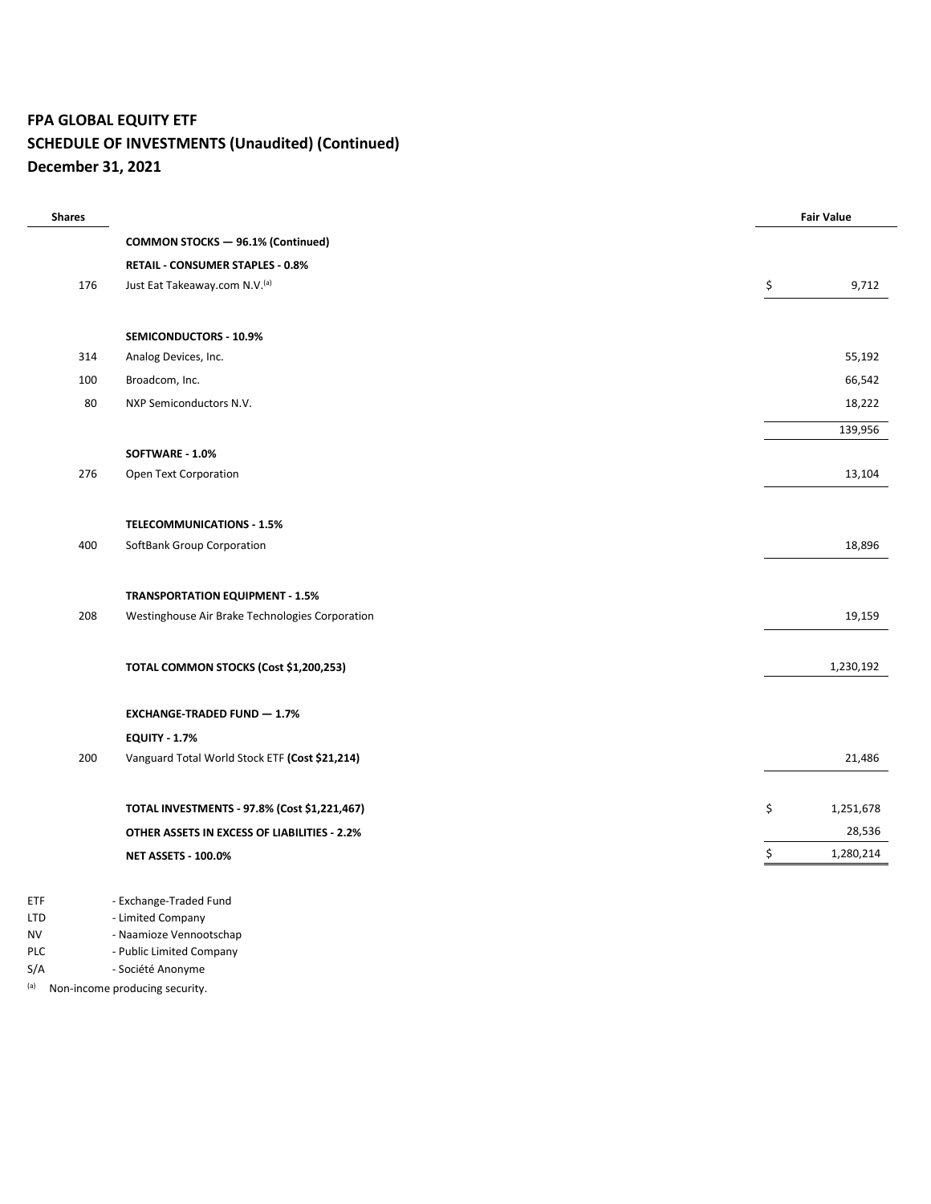## **FPA GLOBAL EQUITY ETF SCHEDULE OF INVESTMENTS (Unaudited) (Continued)**

**December 31, 2021**

| <b>Shares</b> |     |                                                 |    | <b>Fair Value</b> |
|---------------|-----|-------------------------------------------------|----|-------------------|
|               |     | <b>COMMON STOCKS - 96.1% (Continued)</b>        |    |                   |
|               |     | RETAIL - CONSUMER STAPLES - 0.8%                |    |                   |
|               | 176 | Just Eat Takeaway.com N.V.(a)                   | \$ | 9,712             |
|               |     |                                                 |    |                   |
|               |     | SEMICONDUCTORS - 10.9%                          |    |                   |
|               | 314 | Analog Devices, Inc.                            |    | 55,192            |
|               | 100 | Broadcom, Inc.                                  |    | 66,542            |
|               | 80  | NXP Semiconductors N.V.                         |    | 18,222            |
|               |     |                                                 |    | 139,956           |
|               |     | SOFTWARE - 1.0%                                 |    |                   |
|               | 276 | Open Text Corporation                           |    | 13,104            |
|               |     |                                                 |    |                   |
|               |     | <b>TELECOMMUNICATIONS - 1.5%</b>                |    |                   |
|               | 400 | SoftBank Group Corporation                      |    | 18,896            |
|               |     |                                                 |    |                   |
|               |     | <b>TRANSPORTATION EQUIPMENT - 1.5%</b>          |    |                   |
|               | 208 | Westinghouse Air Brake Technologies Corporation |    | 19,159            |
|               |     |                                                 |    |                   |
|               |     | TOTAL COMMON STOCKS (Cost \$1,200,253)          |    | 1,230,192         |
|               |     |                                                 |    |                   |
|               |     | <b>EXCHANGE-TRADED FUND - 1.7%</b>              |    |                   |
|               |     | <b>EQUITY - 1.7%</b>                            |    |                   |
|               | 200 | Vanguard Total World Stock ETF (Cost \$21,214)  |    | 21,486            |
|               |     |                                                 |    |                   |
|               |     | TOTAL INVESTMENTS - 97.8% (Cost \$1,221,467)    | \$ | 1,251,678         |
|               |     | OTHER ASSETS IN EXCESS OF LIABILITIES - 2.2%    |    | 28,536            |
|               |     | <b>NET ASSETS - 100.0%</b>                      | \$ | 1,280,214         |
|               |     |                                                 |    |                   |
| <b>ETF</b>    |     | - Exchange-Traded Fund                          |    |                   |

- LTD Limited Company
- NV Naamioze Vennootschap
- PLC Public Limited Company
- S/A Société Anonyme
- (a) Non-income producing security.